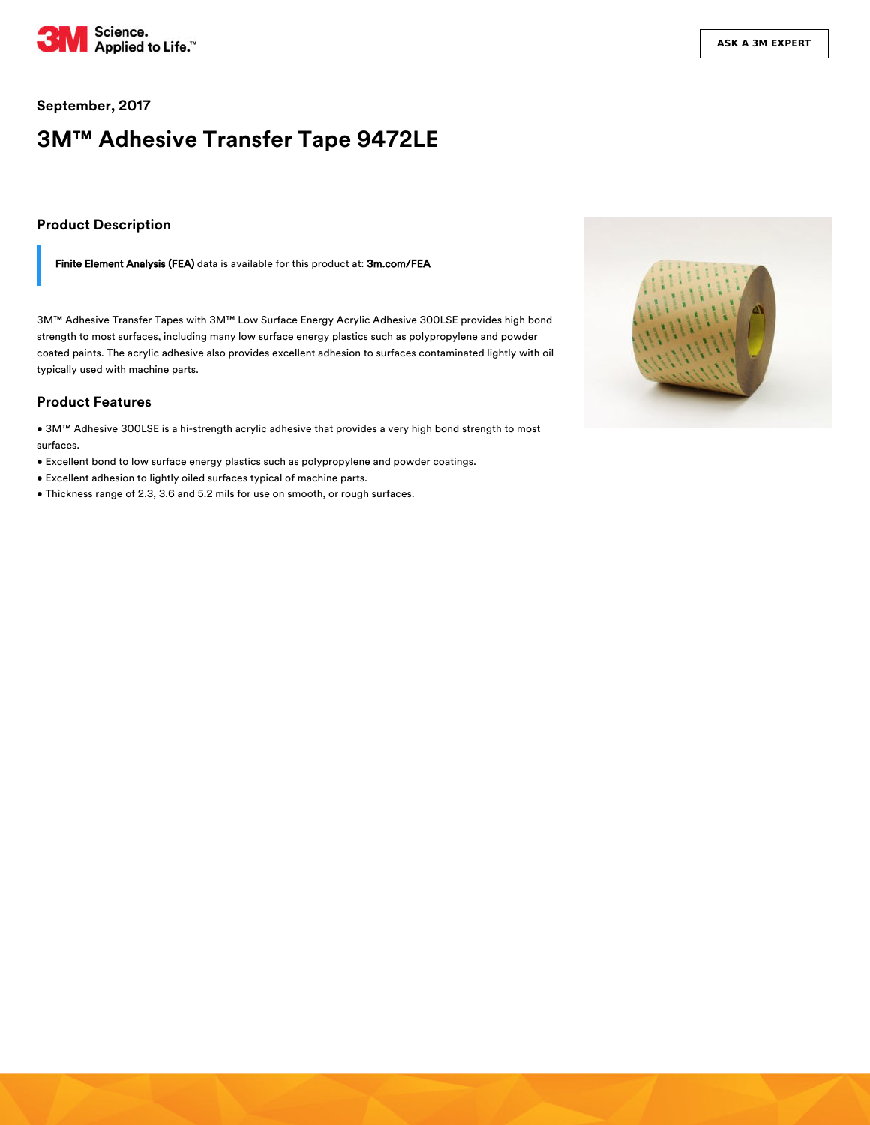

#### **September, 2017**

# **3M™ Adhesive Transfer Tape 9472LE**

#### **Product Description**

Finite Element Analysis (FEA) data is available for this product at: [3m.com/FEA](https://3m.com/FEA)

3M™ Adhesive Transfer Tapes with 3M™ Low Surface Energy Acrylic Adhesive 300LSE provides high bond strength to most surfaces, including many low surface energy plastics such as polypropylene and powder coated paints. The acrylic adhesive also provides excellent adhesion to surfaces contaminated lightly with oil typically used with machine parts.

#### **Product Features**

• 3M™ Adhesive 300LSE is a hi-strength acrylic adhesive that provides a very high bond strength to most surfaces.

- Excellent bond to low surface energy plastics such as polypropylene and powder coatings.
- Excellent adhesion to lightly oiled surfaces typical of machine parts.
- Thickness range of 2.3, 3.6 and 5.2 mils for use on smooth, or rough surfaces.

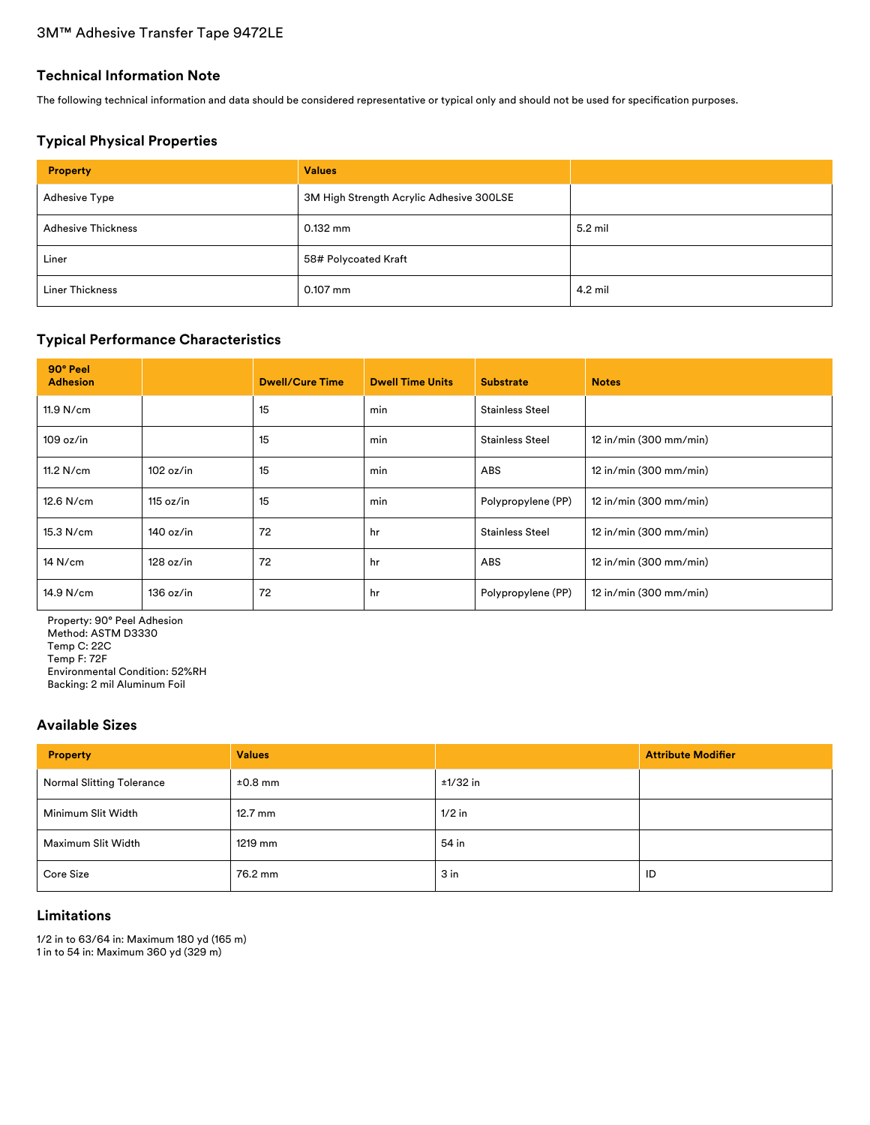## **Technical Information Note**

The following technical information and data should be considered representative or typical only and should not be used for specification purposes.

# **Typical Physical Properties**

| <b>Property</b>           | <b>Values</b>                            |         |
|---------------------------|------------------------------------------|---------|
| <b>Adhesive Type</b>      | 3M High Strength Acrylic Adhesive 300LSE |         |
| <b>Adhesive Thickness</b> | $0.132$ mm                               | 5.2 mil |
| Liner                     | 58# Polycoated Kraft                     |         |
| <b>Liner Thickness</b>    | $0.107$ mm                               | 4.2 mil |

# **Typical Performance Characteristics**

| 90° Peel<br><b>Adhesion</b> |           | <b>Dwell/Cure Time</b> | <b>Dwell Time Units</b> | <b>Substrate</b>       | <b>Notes</b>             |
|-----------------------------|-----------|------------------------|-------------------------|------------------------|--------------------------|
| 11.9 N/cm                   |           | 15                     | min                     | <b>Stainless Steel</b> |                          |
| 109 oz/in                   |           | 15                     | min                     | <b>Stainless Steel</b> | 12 in/min (300 mm/min)   |
| $11.2$ N/cm                 | 102 oz/in | 15                     | min                     | <b>ABS</b>             | 12 in/min (300 mm/min)   |
| 12.6 N/cm                   | 115 oz/in | 15                     | min                     | Polypropylene (PP)     | 12 in/min (300 mm/min)   |
| 15.3 N/cm                   | 140 oz/in | 72                     | hr                      | <b>Stainless Steel</b> | 12 in/min (300 mm/min)   |
| $14$ N/cm                   | 128 oz/in | 72                     | hr                      | <b>ABS</b>             | $12$ in/min (300 mm/min) |
| 14.9 N/cm                   | 136 oz/in | 72                     | hr                      | Polypropylene (PP)     | 12 in/min (300 mm/min)   |

Property: 90° Peel Adhesion Method: ASTM D3330 Temp C: 22C Temp F: 72F Environmental Condition: 52%RH Backing: 2 mil Aluminum Foil

# **Available Sizes**

| <b>Property</b>                  | <b>Values</b>     |          | <b>Attribute Modifier</b> |
|----------------------------------|-------------------|----------|---------------------------|
| <b>Normal Slitting Tolerance</b> | $±0.8$ mm         | ±1/32 in |                           |
| Minimum Slit Width               | $12.7 \text{ mm}$ | $1/2$ in |                           |
| Maximum Slit Width               | 1219 mm           | 54 in    |                           |
| Core Size                        | 76.2 mm           | $3$ in   | ID                        |

# **Limitations**

1/2 in to 63/64 in: Maximum 180 yd (165 m) 1 in to 54 in: Maximum 360 yd (329 m)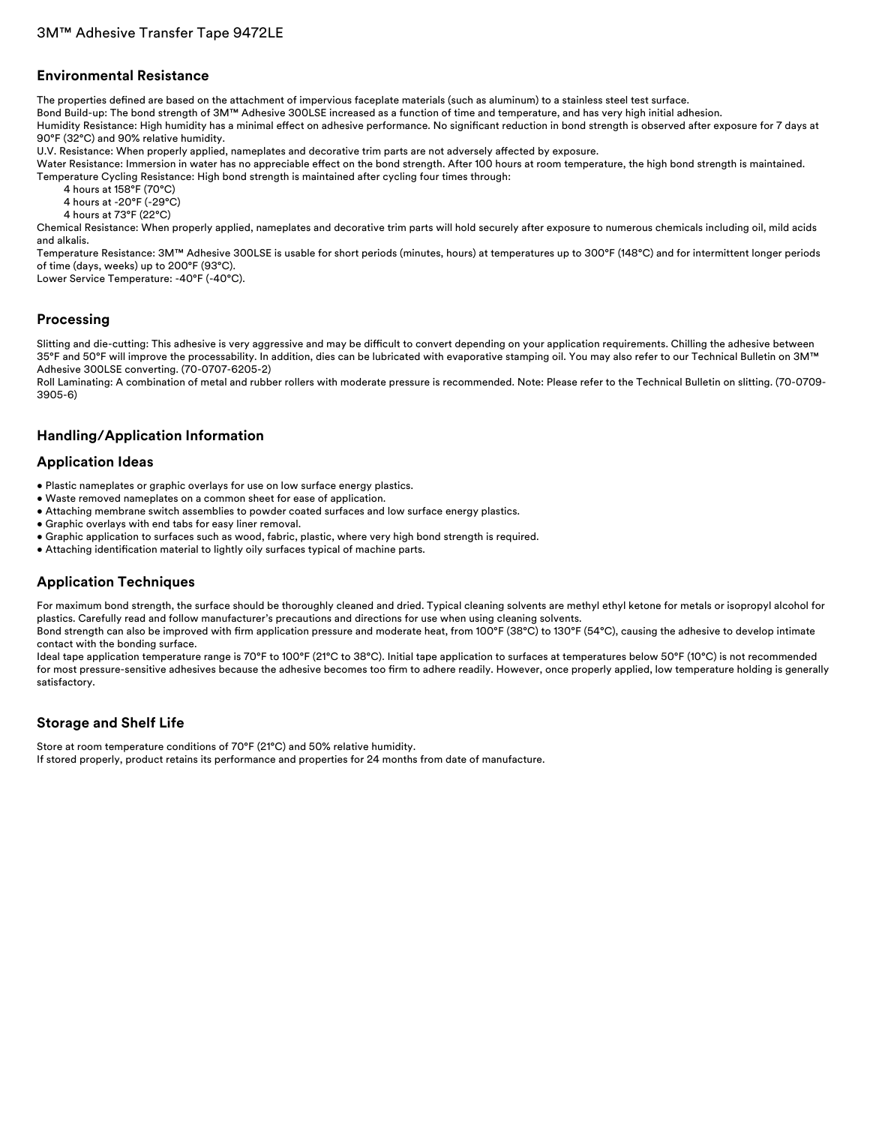#### **Environmental Resistance**

The properties defined are based on the attachment of impervious faceplate materials (such as aluminum) to a stainless steel test surface.

Bond Build-up: The bond strength of 3M™ Adhesive 300LSE increased as a function of time and temperature, and has very high initial adhesion.

Humidity Resistance: High humidity has a minimal effect on adhesive performance. No significant reduction in bond strength is observed after exposure for 7 days at 90°F (32°C) and 90% relative humidity.

U.V. Resistance: When properly applied, nameplates and decorative trim parts are not adversely affected by exposure.

Water Resistance: Immersion in water has no appreciable effect on the bond strength. After 100 hours at room temperature, the high bond strength is maintained. Temperature Cycling Resistance: High bond strength is maintained after cycling four times through:

4 hours at 158°F (70°C)

4 hours at -20°F (-29°C)

4 hours at 73°F (22°C)

Chemical Resistance: When properly applied, nameplates and decorative trim parts will hold securely after exposure to numerous chemicals including oil, mild acids and alkalis.

Temperature Resistance: 3M™ Adhesive 300LSE is usable for short periods (minutes, hours) at temperatures up to 300°F (148°C) and for intermittent longer periods of time (days, weeks) up to 200°F (93°C).

Lower Service Temperature: -40°F (-40°C).

# **Processing**

Slitting and die-cutting: This adhesive is very aggressive and may be difficult to convert depending on your application requirements. Chilling the adhesive between 35°F and 50°F will improve the processability. In addition, dies can be lubricated with evaporative stamping oil. You may also refer to our Technical Bulletin on 3M™ Adhesive 300LSE converting. (70-0707-6205-2)

Roll Laminating: A combination of metal and rubber rollers with moderate pressure is recommended. Note: Please refer to the Technical Bulletin on slitting. (70-0709- 3905-6)

### **Handling/Application Information**

#### **Application Ideas**

- Plastic nameplates or graphic overlays for use on low surface energy plastics.
- Waste removed nameplates on a common sheet for ease of application.
- Attaching membrane switch assemblies to powder coated surfaces and low surface energy plastics.
- Graphic overlays with end tabs for easy liner removal.
- Graphic application to surfaces such as wood, fabric, plastic, where very high bond strength is required.
- Attaching identification material to lightly oily surfaces typical of machine parts.

### **Application Techniques**

For maximum bond strength, the surface should be thoroughly cleaned and dried. Typical cleaning solvents are methyl ethyl ketone for metals or isopropyl alcohol for plastics. Carefully read and follow manufacturer's precautions and directions for use when using cleaning solvents.

Bond strength can also be improved with firm application pressure and moderate heat, from 100°F (38°C) to 130°F (54°C), causing the adhesive to develop intimate contact with the bonding surface.

Ideal tape application temperature range is 70°F to 100°F (21°C to 38°C). Initial tape application to surfaces at temperatures below 50°F (10°C) is not recommended for most pressure-sensitive adhesives because the adhesive becomes too firm to adhere readily. However, once properly applied, low temperature holding is generally satisfactory.

# **Storage and Shelf Life**

Store at room temperature conditions of 70°F (21°C) and 50% relative humidity. If stored properly, product retains its performance and properties for 24 months from date of manufacture.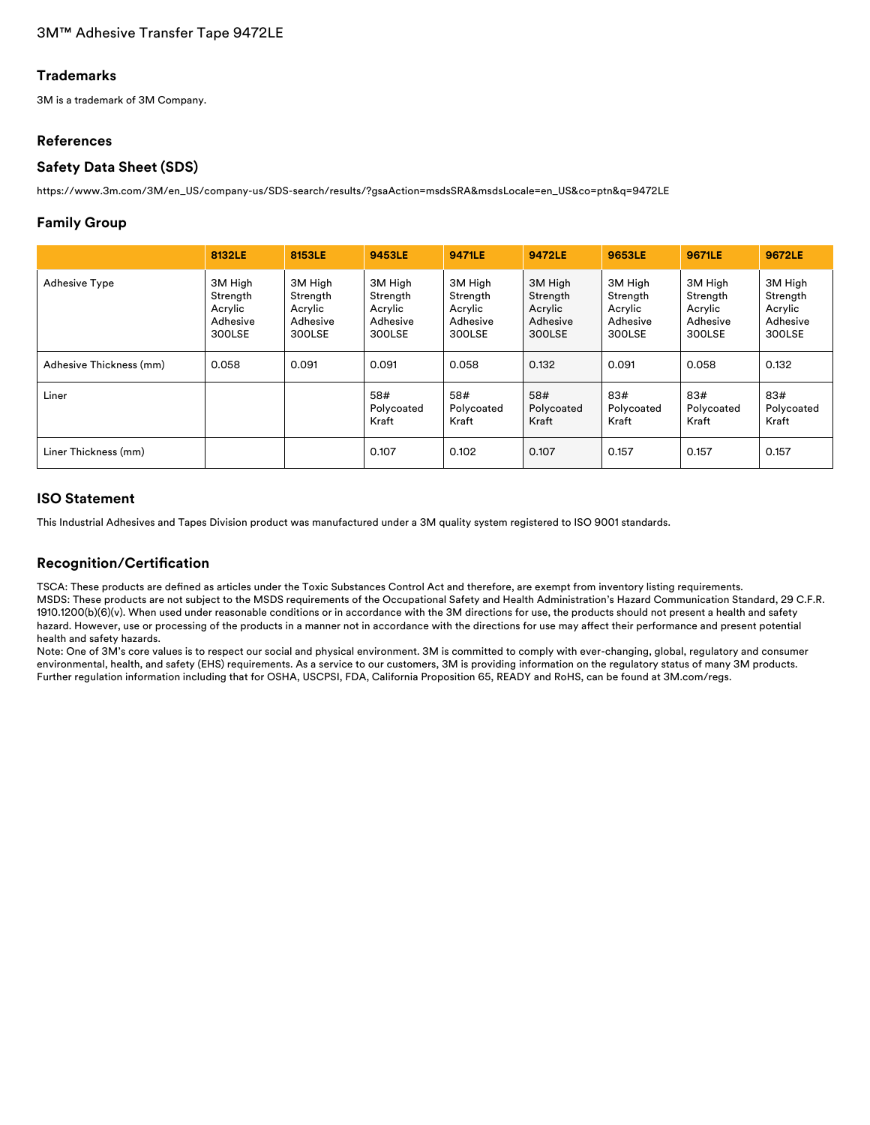# 3M™ Adhesive Transfer Tape 9472LE

### **Trademarks**

3M is a trademark of 3M Company.

## **References**

### **Safety Data Sheet (SDS)**

[https://www.3m.com/3M/en\\_US/company-us/SDS-search/results/?gsaAction=msdsSRA&msdsLocale=en\\_US&co=ptn&q=9472LE](https://www.3m.com/3M/en_US/company-us/SDS-search/results/?gsaAction=msdsSRA&msdsLocale=en_US&co=ptn&q=9472LE)

## **Family Group**

|                         | 8132LE                                               | 8153LE                                               | 9453LE                                               | 9471LE                                               | 9472LE                                               | 9653LE                                               | 9671LE                                               | 9672LE                                               |
|-------------------------|------------------------------------------------------|------------------------------------------------------|------------------------------------------------------|------------------------------------------------------|------------------------------------------------------|------------------------------------------------------|------------------------------------------------------|------------------------------------------------------|
| <b>Adhesive Type</b>    | 3M High<br>Strength<br>Acrylic<br>Adhesive<br>300LSE | 3M High<br>Strength<br>Acrylic<br>Adhesive<br>300LSE | 3M High<br>Strength<br>Acrylic<br>Adhesive<br>300LSE | 3M High<br>Strength<br>Acrylic<br>Adhesive<br>300LSE | 3M High<br>Strength<br>Acrylic<br>Adhesive<br>300LSE | 3M High<br>Strength<br>Acrylic<br>Adhesive<br>300LSE | 3M High<br>Strength<br>Acrylic<br>Adhesive<br>300LSE | 3M High<br>Strength<br>Acrylic<br>Adhesive<br>300LSE |
| Adhesive Thickness (mm) | 0.058                                                | 0.091                                                | 0.091                                                | 0.058                                                | 0.132                                                | 0.091                                                | 0.058                                                | 0.132                                                |
| Liner                   |                                                      |                                                      | 58#<br>Polycoated<br>Kraft                           | 58#<br>Polycoated<br>Kraft                           | 58#<br>Polycoated<br>Kraft                           | 83#<br>Polycoated<br>Kraft                           | 83#<br>Polycoated<br>Kraft                           | 83#<br>Polycoated<br>Kraft                           |
| Liner Thickness (mm)    |                                                      |                                                      | 0.107                                                | 0.102                                                | 0.107                                                | 0.157                                                | 0.157                                                | 0.157                                                |

## **ISO Statement**

This Industrial Adhesives and Tapes Division product was manufactured under a 3M quality system registered to ISO 9001 standards.

## **Recognition/Certification**

TSCA: These products are defined as articles under the Toxic Substances Control Act and therefore, are exempt from inventory listing requirements. MSDS: These products are not subject to the MSDS requirements of the Occupational Safety and Health Administration's Hazard Communication Standard, 29 C.F.R. 1910.1200(b)(6)(v). When used under reasonable conditions or in accordance with the 3M directions for use, the products should not present a health and safety hazard. However, use or processing of the products in a manner not in accordance with the directions for use may affect their performance and present potential health and safety hazards.

Note: One of 3M's core values is to respect our social and physical environment. 3M is committed to comply with ever-changing, global, regulatory and consumer environmental, health, and safety (EHS) requirements. As a service to our customers, 3M is providing information on the regulatory status of many 3M products. Further regulation information including that for OSHA, USCPSI, FDA, California Proposition 65, READY and RoHS, can be found at 3M.com/regs.